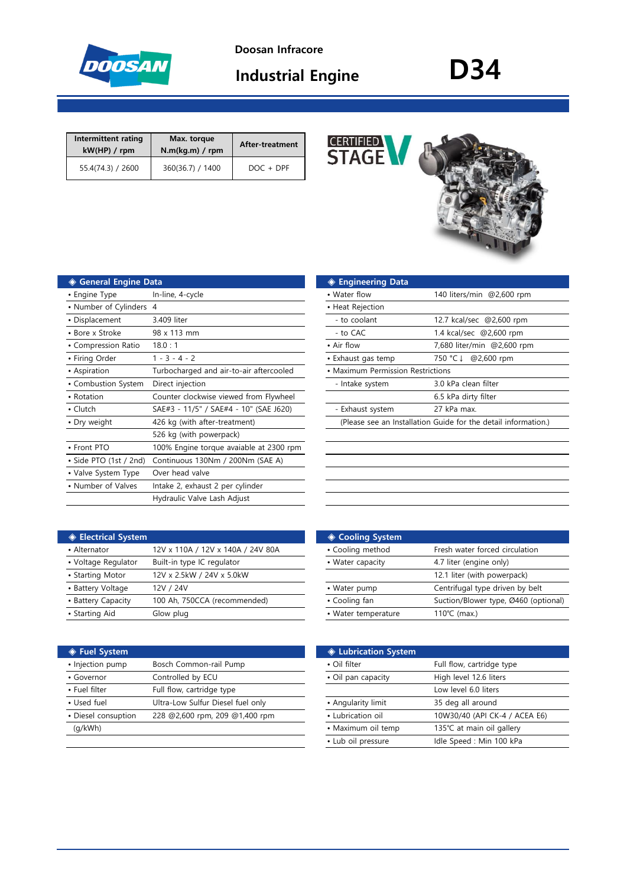

**Doosan Infracore**

| <b>Industrial Engine</b> | <b>D34</b> |
|--------------------------|------------|
|--------------------------|------------|

| Intermittent rating<br>kW(HP) / rpm | Max. torque<br>N.m(kq.m) / rpm | After-treatment |
|-------------------------------------|--------------------------------|-----------------|
| 55.4(74.3) / 2600                   | 360(36.7) / 1400               | $DOC + DPF$     |



| ◆ General Engine Data   |                                         | <b>Engineering Data</b>                                        |                            |
|-------------------------|-----------------------------------------|----------------------------------------------------------------|----------------------------|
| • Engine Type           | In-line, 4-cycle                        | • Water flow                                                   | 140 liters/min @2,600 rpm  |
| • Number of Cylinders 4 |                                         | • Heat Rejection                                               |                            |
| • Displacement          | 3.409 liter                             | - to coolant                                                   | 12.7 kcal/sec @2,600 rpm   |
| • Bore x Stroke         | 98 x 113 mm                             | - to CAC                                                       | 1.4 kcal/sec @2,600 rpm    |
| • Compression Ratio     | 18.0:1                                  | • Air flow                                                     | 7,680 liter/min @2,600 rpm |
| • Firing Order          | $1 - 3 - 4 - 2$                         | • Exhaust gas temp                                             | 750 °C ↓ @2,600 rpm        |
| • Aspiration            | Turbocharged and air-to-air aftercooled | • Maximum Permission Restrictions                              |                            |
| • Combustion System     | Direct injection                        | - Intake system                                                | 3.0 kPa clean filter       |
| • Rotation              | Counter clockwise viewed from Flywheel  |                                                                | 6.5 kPa dirty filter       |
| $\cdot$ Clutch          | SAE#3 - 11/5" / SAE#4 - 10" (SAE J620)  | - Exhaust system                                               | 27 kPa max.                |
| • Dry weight            | 426 kg (with after-treatment)           | (Please see an Installation Guide for the detail information.) |                            |
|                         | 526 kg (with powerpack)                 |                                                                |                            |
| • Front PTO             | 100% Engine torque avaiable at 2300 rpm |                                                                |                            |
| • Side PTO (1st / 2nd)  | Continuous 130Nm / 200Nm (SAE A)        |                                                                |                            |
| • Valve System Type     | Over head valve                         |                                                                |                            |
| • Number of Valves      | Intake 2, exhaust 2 per cylinder        |                                                                |                            |
|                         | Hydraulic Valve Lash Adjust             |                                                                |                            |

| ◈ Engineering Data                |                                                                |  |
|-----------------------------------|----------------------------------------------------------------|--|
| $\bullet$ Water flow              | 140 liters/min @2,600 rpm                                      |  |
| • Heat Rejection                  |                                                                |  |
| - to coolant                      | 12.7 kcal/sec @2,600 rpm                                       |  |
| - to CAC                          | 1.4 kcal/sec @2,600 rpm                                        |  |
| • Air flow                        | 7,680 liter/min @2,600 rpm                                     |  |
| • Exhaust gas temp                | 750 °C↓ @2,600 rpm                                             |  |
| • Maximum Permission Restrictions |                                                                |  |
| - Intake system                   | 3.0 kPa clean filter                                           |  |
|                                   | 6.5 kPa dirty filter                                           |  |
| - Exhaust system                  | 27 kPa max.                                                    |  |
|                                   | (Please see an Installation Guide for the detail information.) |  |
|                                   |                                                                |  |
|                                   |                                                                |  |
|                                   |                                                                |  |

| <b>♦ Electrical System</b> |                                   | ◈ Cooling System    |                                 |
|----------------------------|-----------------------------------|---------------------|---------------------------------|
| • Alternator               | 12V x 110A / 12V x 140A / 24V 80A | • Cooling method    | Fresh water forced circulation  |
| • Voltage Regulator        | Built-in type IC regulator        | • Water capacity    | 4.7 liter (engine only)         |
| • Starting Motor           | 12V x 2.5kW / 24V x 5.0kW         |                     | 12.1 liter (with powerpack)     |
| • Battery Voltage          | 12V / 24V                         | • Water pump        | Centrifugal type driven by belt |
| • Battery Capacity         | 100 Ah, 750CCA (recommended)      | • Cooling fan       | Suction/Blower type, Ø460 (op   |
| • Starting Aid             | Glow plug                         | • Water temperature | 110 $°C$ (max.)                 |
|                            |                                   |                     |                                 |

| ◈ Fuel System       |                                   | <b>♦ Lubrication System</b> |                                     |
|---------------------|-----------------------------------|-----------------------------|-------------------------------------|
| • Injection pump    | Bosch Common-rail Pump            | • Oil filter                | Full flow, cartridge type           |
| • Governor          | Controlled by ECU                 | • Oil pan capacity          | High level 12.6 liters              |
| • Fuel filter       | Full flow, cartridge type         |                             | Low level 6.0 liters                |
| • Used fuel         | Ultra-Low Sulfur Diesel fuel only | • Angularity limit          | 35 deg all around                   |
| • Diesel consuption | 228 @2,600 rpm, 209 @1,400 rpm    | • Lubrication oil           | 10W30/40 (API CK-4 / ACEA E6)       |
| (q/kWh)             |                                   | • Maximum oil temp          | 135℃ at main oil gallery            |
|                     |                                   | .                           | $\cdots$ $\cdots$ $\cdots$ $\cdots$ |

| <b>Electrical System</b> |                                   | ◈ Cooling System    |                                      |
|--------------------------|-----------------------------------|---------------------|--------------------------------------|
| • Alternator             | 12V x 110A / 12V x 140A / 24V 80A | • Cooling method    | Fresh water forced circulation       |
| • Voltage Regulator      | Built-in type IC regulator        | • Water capacity    | 4.7 liter (engine only)              |
| • Starting Motor         | 12V x 2.5kW / 24V x 5.0kW         |                     | 12.1 liter (with powerpack)          |
| • Battery Voltage        | 12V / 24V                         | • Water pump        | Centrifugal type driven by belt      |
| • Battery Capacity       | 100 Ah, 750CCA (recommended)      | • Cooling fan       | Suction/Blower type, Ø460 (optional) |
| • Starting Aid           | Glow plug                         | • Water temperature | 110 $°C$ (max.)                      |
|                          |                                   |                     |                                      |

| <b>♦ Lubrication System</b> |                               |
|-----------------------------|-------------------------------|
| • Oil filter                | Full flow, cartridge type     |
| • Oil pan capacity          | High level 12.6 liters        |
|                             | Low level 6.0 liters          |
| • Angularity limit          | 35 deg all around             |
| • Lubrication oil           | 10W30/40 (API CK-4 / ACEA E6) |
| • Maximum oil temp          | 135℃ at main oil gallery      |
| • Lub oil pressure          | Idle Speed: Min 100 kPa       |